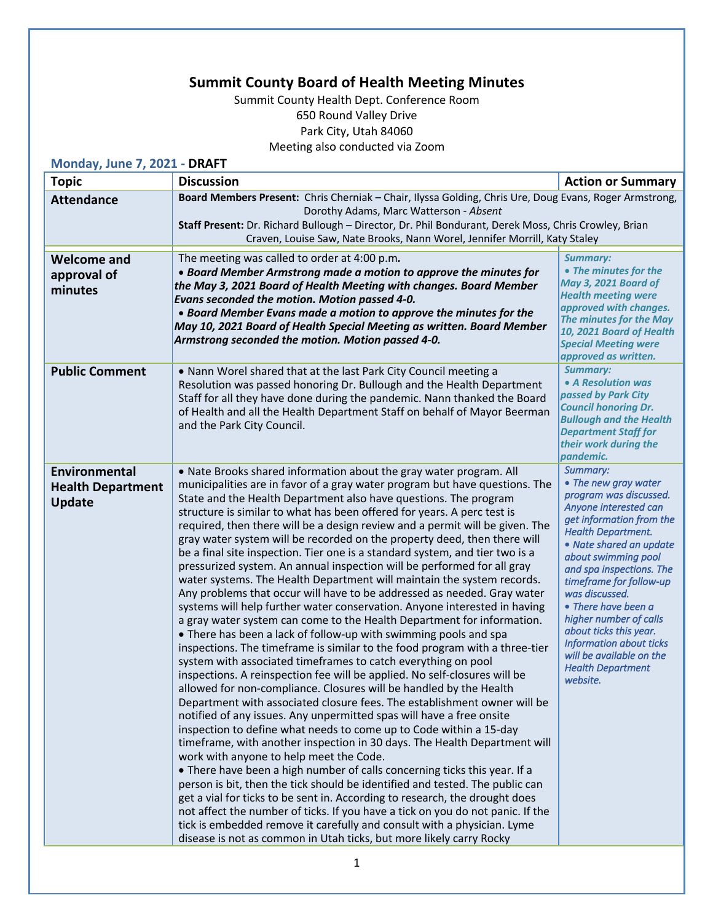## **Summit County Board of Health Meeting Minutes**

Summit County Health Dept. Conference Room 650 Round Valley Drive Park City, Utah 84060 Meeting also conducted via Zoom

| Monday, June 7, 2021 - DRAFT                                      |                                                                                                                                                                                                                                                                                                                                                                                                                                                                                                                                                                                                                                                                                                                                                                                                                                                                                                                                                                                                                                                                                                                                                                                                                                                                                                                                                                                                                                                                                                                                                                                                                                                                                                                                                                                                                                                                                                                                                                                                                                                                                                                                              |                                                                                                                                                                                                                                                                                                                                                                                                                                                          |  |  |
|-------------------------------------------------------------------|----------------------------------------------------------------------------------------------------------------------------------------------------------------------------------------------------------------------------------------------------------------------------------------------------------------------------------------------------------------------------------------------------------------------------------------------------------------------------------------------------------------------------------------------------------------------------------------------------------------------------------------------------------------------------------------------------------------------------------------------------------------------------------------------------------------------------------------------------------------------------------------------------------------------------------------------------------------------------------------------------------------------------------------------------------------------------------------------------------------------------------------------------------------------------------------------------------------------------------------------------------------------------------------------------------------------------------------------------------------------------------------------------------------------------------------------------------------------------------------------------------------------------------------------------------------------------------------------------------------------------------------------------------------------------------------------------------------------------------------------------------------------------------------------------------------------------------------------------------------------------------------------------------------------------------------------------------------------------------------------------------------------------------------------------------------------------------------------------------------------------------------------|----------------------------------------------------------------------------------------------------------------------------------------------------------------------------------------------------------------------------------------------------------------------------------------------------------------------------------------------------------------------------------------------------------------------------------------------------------|--|--|
| <b>Topic</b>                                                      | <b>Discussion</b>                                                                                                                                                                                                                                                                                                                                                                                                                                                                                                                                                                                                                                                                                                                                                                                                                                                                                                                                                                                                                                                                                                                                                                                                                                                                                                                                                                                                                                                                                                                                                                                                                                                                                                                                                                                                                                                                                                                                                                                                                                                                                                                            | <b>Action or Summary</b>                                                                                                                                                                                                                                                                                                                                                                                                                                 |  |  |
| <b>Attendance</b>                                                 | Board Members Present: Chris Cherniak - Chair, Ilyssa Golding, Chris Ure, Doug Evans, Roger Armstrong,<br>Dorothy Adams, Marc Watterson - Absent<br>Staff Present: Dr. Richard Bullough - Director, Dr. Phil Bondurant, Derek Moss, Chris Crowley, Brian<br>Craven, Louise Saw, Nate Brooks, Nann Worel, Jennifer Morrill, Katy Staley                                                                                                                                                                                                                                                                                                                                                                                                                                                                                                                                                                                                                                                                                                                                                                                                                                                                                                                                                                                                                                                                                                                                                                                                                                                                                                                                                                                                                                                                                                                                                                                                                                                                                                                                                                                                       |                                                                                                                                                                                                                                                                                                                                                                                                                                                          |  |  |
| <b>Welcome and</b><br>approval of<br>minutes                      | The meeting was called to order at 4:00 p.m.<br>• Board Member Armstrong made a motion to approve the minutes for<br>the May 3, 2021 Board of Health Meeting with changes. Board Member<br>Evans seconded the motion. Motion passed 4-0.<br>• Board Member Evans made a motion to approve the minutes for the<br>May 10, 2021 Board of Health Special Meeting as written. Board Member<br>Armstrong seconded the motion. Motion passed 4-0.                                                                                                                                                                                                                                                                                                                                                                                                                                                                                                                                                                                                                                                                                                                                                                                                                                                                                                                                                                                                                                                                                                                                                                                                                                                                                                                                                                                                                                                                                                                                                                                                                                                                                                  | <b>Summary:</b><br>• The minutes for the<br><b>May 3, 2021 Board of</b><br><b>Health meeting were</b><br>approved with changes.<br>The minutes for the May<br>10, 2021 Board of Health<br><b>Special Meeting were</b><br>approved as written.                                                                                                                                                                                                            |  |  |
| <b>Public Comment</b>                                             | • Nann Worel shared that at the last Park City Council meeting a<br>Resolution was passed honoring Dr. Bullough and the Health Department<br>Staff for all they have done during the pandemic. Nann thanked the Board<br>of Health and all the Health Department Staff on behalf of Mayor Beerman<br>and the Park City Council.                                                                                                                                                                                                                                                                                                                                                                                                                                                                                                                                                                                                                                                                                                                                                                                                                                                                                                                                                                                                                                                                                                                                                                                                                                                                                                                                                                                                                                                                                                                                                                                                                                                                                                                                                                                                              | <b>Summary:</b><br>• A Resolution was<br>passed by Park City<br><b>Council honoring Dr.</b><br><b>Bullough and the Health</b><br><b>Department Staff for</b><br>their work during the<br>pandemic.                                                                                                                                                                                                                                                       |  |  |
| <b>Environmental</b><br><b>Health Department</b><br><b>Update</b> | • Nate Brooks shared information about the gray water program. All<br>municipalities are in favor of a gray water program but have questions. The<br>State and the Health Department also have questions. The program<br>structure is similar to what has been offered for years. A perc test is<br>required, then there will be a design review and a permit will be given. The<br>gray water system will be recorded on the property deed, then there will<br>be a final site inspection. Tier one is a standard system, and tier two is a<br>pressurized system. An annual inspection will be performed for all gray<br>water systems. The Health Department will maintain the system records.<br>Any problems that occur will have to be addressed as needed. Gray water<br>systems will help further water conservation. Anyone interested in having<br>a gray water system can come to the Health Department for information.<br>• There has been a lack of follow-up with swimming pools and spa<br>inspections. The timeframe is similar to the food program with a three-tier<br>system with associated timeframes to catch everything on pool<br>inspections. A reinspection fee will be applied. No self-closures will be<br>allowed for non-compliance. Closures will be handled by the Health<br>Department with associated closure fees. The establishment owner will be<br>notified of any issues. Any unpermitted spas will have a free onsite<br>inspection to define what needs to come up to Code within a 15-day<br>timeframe, with another inspection in 30 days. The Health Department will<br>work with anyone to help meet the Code.<br>• There have been a high number of calls concerning ticks this year. If a<br>person is bit, then the tick should be identified and tested. The public can<br>get a vial for ticks to be sent in. According to research, the drought does<br>not affect the number of ticks. If you have a tick on you do not panic. If the<br>tick is embedded remove it carefully and consult with a physician. Lyme<br>disease is not as common in Utah ticks, but more likely carry Rocky | Summary:<br>• The new gray water<br>program was discussed.<br>Anyone interested can<br>get information from the<br><b>Health Department.</b><br>• Nate shared an update<br>about swimming pool<br>and spa inspections. The<br>timeframe for follow-up<br>was discussed.<br>• There have been a<br>higher number of calls<br>about ticks this year.<br><b>Information about ticks</b><br>will be available on the<br><b>Health Department</b><br>website. |  |  |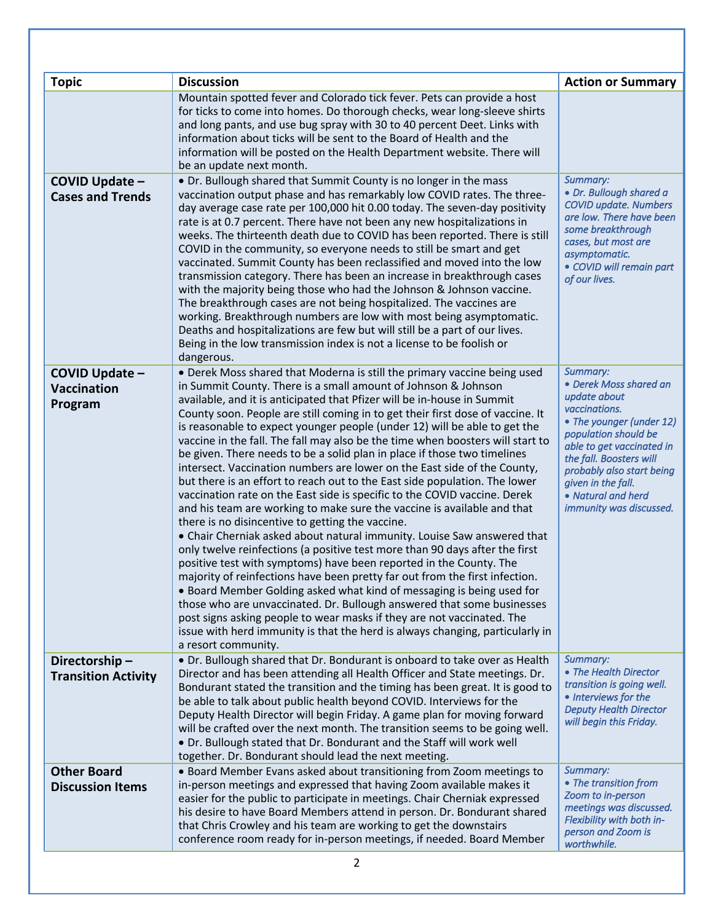| <b>Topic</b>                                    | <b>Discussion</b>                                                                                                                                                                                                                                                                                                                                                                                                                                                                                                                                                                                                                                                                                                                                                                                                                                                                                                                                                                                                                                                                                                                                                                                                                                                                                                                                                                                                                                                                                                                                                           | <b>Action or Summary</b>                                                                                                                                                                                                                                                            |
|-------------------------------------------------|-----------------------------------------------------------------------------------------------------------------------------------------------------------------------------------------------------------------------------------------------------------------------------------------------------------------------------------------------------------------------------------------------------------------------------------------------------------------------------------------------------------------------------------------------------------------------------------------------------------------------------------------------------------------------------------------------------------------------------------------------------------------------------------------------------------------------------------------------------------------------------------------------------------------------------------------------------------------------------------------------------------------------------------------------------------------------------------------------------------------------------------------------------------------------------------------------------------------------------------------------------------------------------------------------------------------------------------------------------------------------------------------------------------------------------------------------------------------------------------------------------------------------------------------------------------------------------|-------------------------------------------------------------------------------------------------------------------------------------------------------------------------------------------------------------------------------------------------------------------------------------|
|                                                 | Mountain spotted fever and Colorado tick fever. Pets can provide a host<br>for ticks to come into homes. Do thorough checks, wear long-sleeve shirts<br>and long pants, and use bug spray with 30 to 40 percent Deet. Links with<br>information about ticks will be sent to the Board of Health and the<br>information will be posted on the Health Department website. There will<br>be an update next month.                                                                                                                                                                                                                                                                                                                                                                                                                                                                                                                                                                                                                                                                                                                                                                                                                                                                                                                                                                                                                                                                                                                                                              |                                                                                                                                                                                                                                                                                     |
| COVID Update -<br><b>Cases and Trends</b>       | • Dr. Bullough shared that Summit County is no longer in the mass<br>vaccination output phase and has remarkably low COVID rates. The three-<br>day average case rate per 100,000 hit 0.00 today. The seven-day positivity<br>rate is at 0.7 percent. There have not been any new hospitalizations in<br>weeks. The thirteenth death due to COVID has been reported. There is still<br>COVID in the community, so everyone needs to still be smart and get<br>vaccinated. Summit County has been reclassified and moved into the low<br>transmission category. There has been an increase in breakthrough cases<br>with the majority being those who had the Johnson & Johnson vaccine.<br>The breakthrough cases are not being hospitalized. The vaccines are<br>working. Breakthrough numbers are low with most being asymptomatic.<br>Deaths and hospitalizations are few but will still be a part of our lives.<br>Being in the low transmission index is not a license to be foolish or<br>dangerous.                                                                                                                                                                                                                                                                                                                                                                                                                                                                                                                                                                  | Summary:<br>· Dr. Bullough shared a<br><b>COVID update. Numbers</b><br>are low. There have been<br>some breakthrough<br>cases, but most are<br>asymptomatic.<br>• COVID will remain part<br>of our lives.                                                                           |
| COVID Update -<br><b>Vaccination</b><br>Program | • Derek Moss shared that Moderna is still the primary vaccine being used<br>in Summit County. There is a small amount of Johnson & Johnson<br>available, and it is anticipated that Pfizer will be in-house in Summit<br>County soon. People are still coming in to get their first dose of vaccine. It<br>is reasonable to expect younger people (under 12) will be able to get the<br>vaccine in the fall. The fall may also be the time when boosters will start to<br>be given. There needs to be a solid plan in place if those two timelines<br>intersect. Vaccination numbers are lower on the East side of the County,<br>but there is an effort to reach out to the East side population. The lower<br>vaccination rate on the East side is specific to the COVID vaccine. Derek<br>and his team are working to make sure the vaccine is available and that<br>there is no disincentive to getting the vaccine.<br>• Chair Cherniak asked about natural immunity. Louise Saw answered that<br>only twelve reinfections (a positive test more than 90 days after the first<br>positive test with symptoms) have been reported in the County. The<br>majority of reinfections have been pretty far out from the first infection<br>• Board Member Golding asked what kind of messaging is being used for<br>those who are unvaccinated. Dr. Bullough answered that some businesses<br>post signs asking people to wear masks if they are not vaccinated. The<br>issue with herd immunity is that the herd is always changing, particularly in<br>a resort community. | Summary:<br>• Derek Moss shared an<br>update about<br>vaccinations.<br>• The younger (under 12)<br>population should be<br>able to get vaccinated in<br>the fall. Boosters will<br>probably also start being<br>given in the fall.<br>• Natural and herd<br>immunity was discussed. |
| Directorship-<br><b>Transition Activity</b>     | • Dr. Bullough shared that Dr. Bondurant is onboard to take over as Health<br>Director and has been attending all Health Officer and State meetings. Dr.<br>Bondurant stated the transition and the timing has been great. It is good to<br>be able to talk about public health beyond COVID. Interviews for the<br>Deputy Health Director will begin Friday. A game plan for moving forward<br>will be crafted over the next month. The transition seems to be going well.<br>. Dr. Bullough stated that Dr. Bondurant and the Staff will work well<br>together. Dr. Bondurant should lead the next meeting.                                                                                                                                                                                                                                                                                                                                                                                                                                                                                                                                                                                                                                                                                                                                                                                                                                                                                                                                                               | Summary:<br>• The Health Director<br>transition is going well.<br>• Interviews for the<br><b>Deputy Health Director</b><br>will begin this Friday.                                                                                                                                  |
| <b>Other Board</b><br><b>Discussion Items</b>   | • Board Member Evans asked about transitioning from Zoom meetings to<br>in-person meetings and expressed that having Zoom available makes it<br>easier for the public to participate in meetings. Chair Cherniak expressed<br>his desire to have Board Members attend in person. Dr. Bondurant shared<br>that Chris Crowley and his team are working to get the downstairs<br>conference room ready for in-person meetings, if needed. Board Member<br>2                                                                                                                                                                                                                                                                                                                                                                                                                                                                                                                                                                                                                                                                                                                                                                                                                                                                                                                                                                                                                                                                                                                    | Summary:<br>• The transition from<br>Zoom to in-person<br>meetings was discussed.<br>Flexibility with both in-<br>person and Zoom is<br>worthwhile.                                                                                                                                 |